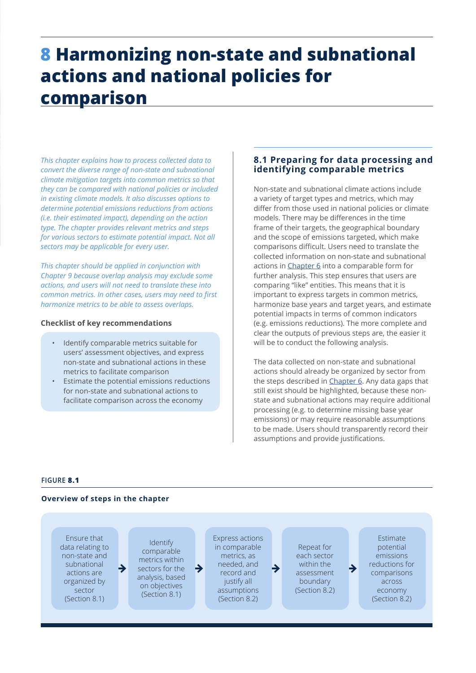# **8 Harmonizing non-state and subnational actions and national policies for comparison**

*This chapter explains how to process collected data to convert the diverse range of non-state and subnational climate mitigation targets into common metrics so that they can be compared with national policies or included in existing climate models. It also discusses options to determine potential emissions reductions from actions (i.e. their estimated impact), depending on the action type. The chapter provides relevant metrics and steps for various sectors to estimate potential impact. Not all sectors may be applicable for every user.* 

*This chapter should be applied in conjunction with Chapter 9 because overlap analysis may exclude some actions, and users will not need to translate these into common metrics. In other cases, users may need to first harmonize metrics to be able to assess overlaps.*

## **Checklist of key recommendations**

- Identify comparable metrics suitable for users' assessment objectives, and express non-state and subnational actions in these metrics to facilitate comparison
- Estimate the potential emissions reductions for non-state and subnational actions to facilitate comparison across the economy

# **8.1 Preparing for data processing and identifying comparable metrics**

Non-state and subnational climate actions include a variety of target types and metrics, which may differ from those used in national policies or climate models. There may be differences in the time frame of their targets, the geographical boundary and the scope of emissions targeted, which make comparisons difficult. Users need to translate the collected information on non-state and subnational actions in Chapter 6 into a comparable form for further analysis. This step ensures that users are comparing "like" entities. This means that it is important to express targets in common metrics, harmonize base years and target years, and estimate potential impacts in terms of common indicators (e.g. emissions reductions). The more complete and clear the outputs of previous steps are, the easier it will be to conduct the following analysis.

The data collected on non-state and subnational actions should already be organized by sector from the steps described in Chapter 6. Any data gaps that still exist should be highlighted, because these nonstate and subnational actions may require additional processing (e.g. to determine missing base year emissions) or may require reasonable assumptions to be made. Users should transparently record their assumptions and provide justifications.

## **FIGURE 8.1**

#### **Overview of steps in the chapter**

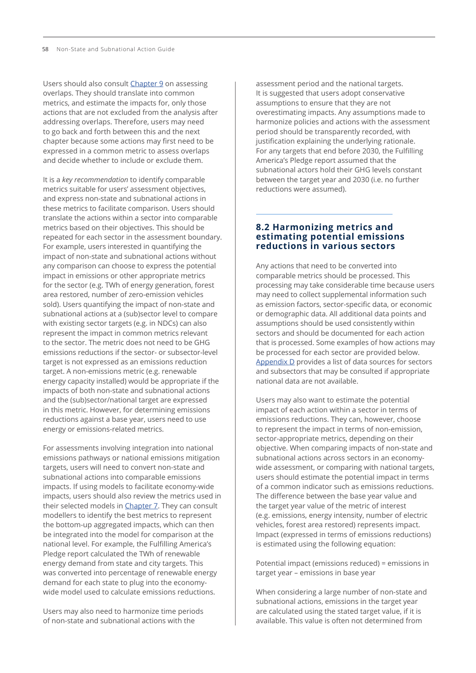<span id="page-1-0"></span>Users should also consult [Chapter 9](#page-14-0) on assessing overlaps. They should translate into common metrics, and estimate the impacts for, only those actions that are not excluded from the analysis after addressing overlaps. Therefore, users may need to go back and forth between this and the next chapter because some actions may first need to be expressed in a common metric to assess overlaps and decide whether to include or exclude them.

It is a *key recommendation* to identify comparable metrics suitable for users' assessment objectives, and express non-state and subnational actions in these metrics to facilitate comparison. Users should translate the actions within a sector into comparable metrics based on their objectives. This should be repeated for each sector in the assessment boundary. For example, users interested in quantifying the impact of non-state and subnational actions without any comparison can choose to express the potential impact in emissions or other appropriate metrics for the sector (e.g. TWh of energy generation, forest area restored, number of zero-emission vehicles sold). Users quantifying the impact of non-state and subnational actions at a (sub)sector level to compare with existing sector targets (e.g. in NDCs) can also represent the impact in common metrics relevant to the sector. The metric does not need to be GHG emissions reductions if the sector- or subsector-level target is not expressed as an emissions reduction target. A non-emissions metric (e.g. renewable energy capacity installed) would be appropriate if the impacts of both non-state and subnational actions and the (sub)sector/national target are expressed in this metric. However, for determining emissions reductions against a base year, users need to use energy or emissions-related metrics.

For assessments involving integration into national emissions pathways or national emissions mitigation targets, users will need to convert non-state and subnational actions into comparable emissions impacts. If using models to facilitate economy-wide impacts, users should also review the metrics used in their selected models in Chapter 7. They can consult modellers to identify the best metrics to represent the bottom-up aggregated impacts, which can then be integrated into the model for comparison at the national level. For example, the Fulfilling America's Pledge report calculated the TWh of renewable energy demand from state and city targets. This was converted into percentage of renewable energy demand for each state to plug into the economywide model used to calculate emissions reductions.

Users may also need to harmonize time periods of non-state and subnational actions with the

assessment period and the national targets. It is suggested that users adopt conservative assumptions to ensure that they are not overestimating impacts. Any assumptions made to harmonize policies and actions with the assessment period should be transparently recorded, with justification explaining the underlying rationale. For any targets that end before 2030, the Fulfilling America's Pledge report assumed that the subnational actors hold their GHG levels constant between the target year and 2030 (i.e. no further reductions were assumed).

## **8.2 Harmonizing metrics and estimating potential emissions reductions in various sectors**

Any actions that need to be converted into comparable metrics should be processed. This processing may take considerable time because users may need to collect supplemental information such as emission factors, sector-specific data, or economic or demographic data. All additional data points and assumptions should be used consistently within sectors and should be documented for each action that is processed. Some examples of how actions may be processed for each sector are provided below. Appendix D provides a list of data sources for sectors and subsectors that may be consulted if appropriate national data are not available.

Users may also want to estimate the potential impact of each action within a sector in terms of emissions reductions. They can, however, choose to represent the impact in terms of non-emission, sector-appropriate metrics, depending on their objective. When comparing impacts of non-state and subnational actions across sectors in an economywide assessment, or comparing with national targets, users should estimate the potential impact in terms of a common indicator such as emissions reductions. The difference between the base year value and the target year value of the metric of interest (e.g. emissions, energy intensity, number of electric vehicles, forest area restored) represents impact. Impact (expressed in terms of emissions reductions) is estimated using the following equation:

Potential impact (emissions reduced) = emissions in target year – emissions in base year

When considering a large number of non-state and subnational actions, emissions in the target year are calculated using the stated target value, if it is available. This value is often not determined from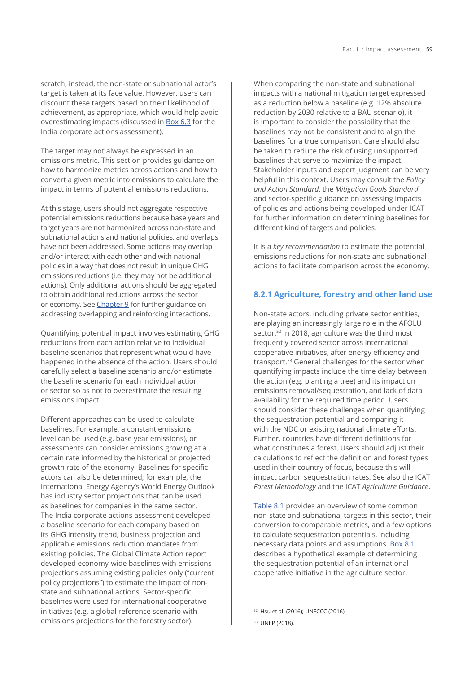scratch; instead, the non-state or subnational actor's target is taken at its face value. However, users can discount these targets based on their likelihood of achievement, as appropriate, which would help avoid overestimating impacts (discussed in Box 6.3 for the India corporate actions assessment).

The target may not always be expressed in an emissions metric. This section provides guidance on how to harmonize metrics across actions and how to convert a given metric into emissions to calculate the impact in terms of potential emissions reductions.

At this stage, users should not aggregate respective potential emissions reductions because base years and target years are not harmonized across non-state and subnational actions and national policies, and overlaps have not been addressed. Some actions may overlap and/or interact with each other and with national policies in a way that does not result in unique GHG emissions reductions (i.e. they may not be additional actions). Only additional actions should be aggregated to obtain additional reductions across the sector or economy. See [Chapter 9](#page-14-0) for further guidance on addressing overlapping and reinforcing interactions.

Quantifying potential impact involves estimating GHG reductions from each action relative to individual baseline scenarios that represent what would have happened in the absence of the action. Users should carefully select a baseline scenario and/or estimate the baseline scenario for each individual action or sector so as not to overestimate the resulting emissions impact.

Different approaches can be used to calculate baselines. For example, a constant emissions level can be used (e.g. base year emissions), or assessments can consider emissions growing at a certain rate informed by the historical or projected growth rate of the economy. Baselines for specific actors can also be determined; for example, the International Energy Agency's World Energy Outlook has industry sector projections that can be used as baselines for companies in the same sector. The India corporate actions assessment developed a baseline scenario for each company based on its GHG intensity trend, business projection and applicable emissions reduction mandates from existing policies. The Global Climate Action report developed economy-wide baselines with emissions projections assuming existing policies only ("current policy projections") to estimate the impact of nonstate and subnational actions. Sector-specific baselines were used for international cooperative initiatives (e.g. a global reference scenario with emissions projections for the forestry sector).

When comparing the non-state and subnational impacts with a national mitigation target expressed as a reduction below a baseline (e.g. 12% absolute reduction by 2030 relative to a BAU scenario), it is important to consider the possibility that the baselines may not be consistent and to align the baselines for a true comparison. Care should also be taken to reduce the risk of using unsupported baselines that serve to maximize the impact. Stakeholder inputs and expert judgment can be very helpful in this context. Users may consult the *Policy and Action Standard*, the *Mitigation Goals Standard*, and sector-specific guidance on assessing impacts of policies and actions being developed under ICAT for further information on determining baselines for different kind of targets and policies.

It is a *key recommendation* to estimate the potential emissions reductions for non-state and subnational actions to facilitate comparison across the economy.

## **8.2.1 Agriculture, forestry and other land use**

Non-state actors, including private sector entities, are playing an increasingly large role in the AFOLU sector.<sup>52</sup> In 2018, agriculture was the third most frequently covered sector across international cooperative initiatives, after energy efficiency and transport.53 General challenges for the sector when quantifying impacts include the time delay between the action (e.g. planting a tree) and its impact on emissions removal/sequestration, and lack of data availability for the required time period. Users should consider these challenges when quantifying the sequestration potential and comparing it with the NDC or existing national climate efforts. Further, countries have different definitions for what constitutes a forest. Users should adjust their calculations to reflect the definition and forest types used in their country of focus, because this will impact carbon sequestration rates. See also the ICAT *Forest Methodology* and the ICAT *Agriculture Guidance*.

[Table 8.1](#page-3-0) provides an overview of some common non-state and subnational targets in this sector, their conversion to comparable metrics, and a few options to calculate sequestration potentials, including necessary data points and assumptions. [Box 8.1](#page-4-0) describes a hypothetical example of determining the sequestration potential of an international cooperative initiative in the agriculture sector.

<sup>52</sup> Hsu et al. (2016); UNFCCC (2016).

<sup>53</sup> UNEP (2018).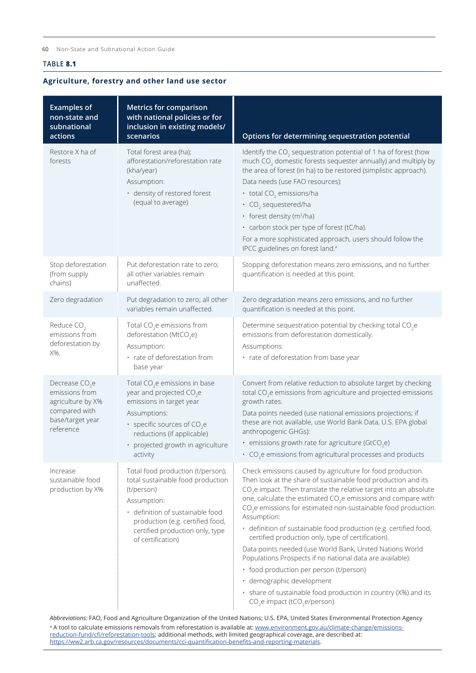## <span id="page-3-0"></span>**TABLE 8.1**

## **Agriculture, forestry and other land use sector**

| <b>Examples of</b><br>non-state and<br>subnational<br>actions                                            | <b>Metrics for comparison</b><br>with national policies or for<br>inclusion in existing models/<br>scenarios                                                                                                                                            | Options for determining sequestration potential                                                                                                                                                                                                                                                                                                                                                                                                                                                                                                                                                                                                                                                                                                                                                                                    |
|----------------------------------------------------------------------------------------------------------|---------------------------------------------------------------------------------------------------------------------------------------------------------------------------------------------------------------------------------------------------------|------------------------------------------------------------------------------------------------------------------------------------------------------------------------------------------------------------------------------------------------------------------------------------------------------------------------------------------------------------------------------------------------------------------------------------------------------------------------------------------------------------------------------------------------------------------------------------------------------------------------------------------------------------------------------------------------------------------------------------------------------------------------------------------------------------------------------------|
| Restore X ha of<br>forests                                                                               | Total forest area (ha);<br>afforestation/reforestation rate<br>(kha/year)<br>Assumption:<br>· density of restored forest<br>(equal to average)                                                                                                          | Identify the CO <sub>2</sub> sequestration potential of 1 ha of forest (how<br>much CO <sub>2</sub> domestic forests sequester annually) and multiply by<br>the area of forest (in ha) to be restored (simplistic approach).<br>Data needs (use FAO resources):<br>$\cdot$ total CO <sub>2</sub> emissions/ha<br>$\cdot$ CO <sub>2</sub> sequestered/ha<br>• forest density ( $m^2/ha$ )<br>· carbon stock per type of forest (tC/ha).<br>For a more sophisticated approach, users should follow the<br>IPCC guidelines on forest land. <sup>a</sup>                                                                                                                                                                                                                                                                               |
| Stop deforestation<br>(from supply<br>chains)                                                            | Put deforestation rate to zero;<br>all other variables remain<br>unaffected.                                                                                                                                                                            | Stopping deforestation means zero emissions, and no further<br>quantification is needed at this point.                                                                                                                                                                                                                                                                                                                                                                                                                                                                                                                                                                                                                                                                                                                             |
| Zero degradation                                                                                         | Put degradation to zero; all other<br>variables remain unaffected.                                                                                                                                                                                      | Zero degradation means zero emissions, and no further<br>quantification is needed at this point.                                                                                                                                                                                                                                                                                                                                                                                                                                                                                                                                                                                                                                                                                                                                   |
| Reduce CO <sub>2</sub><br>emissions from<br>deforestation by<br>X%.                                      | Total $CO2e$ emissions from<br>deforestation (MtCO <sub>2</sub> e)<br>Assumption:<br>· rate of deforestation from<br>base year                                                                                                                          | Determine sequestration potential by checking total CO <sub>2</sub> e<br>emissions from deforestation domestically.<br>Assumptions:<br>· rate of deforestation from base year                                                                                                                                                                                                                                                                                                                                                                                                                                                                                                                                                                                                                                                      |
| Decrease $CO2e$<br>emissions from<br>agriculture by X%<br>compared with<br>base/target year<br>reference | Total CO <sub>2</sub> e emissions in base<br>year and projected CO <sub>2</sub> e<br>emissions in target year<br>Assumptions:<br>• specific sources of CO <sub>2</sub> e<br>reductions (if applicable)<br>• projected growth in agriculture<br>activity | Convert from relative reduction to absolute target by checking<br>total CO <sub>2</sub> e emissions from agriculture and projected emissions<br>growth rates.<br>Data points needed (use national emissions projections; if<br>these are not available, use World Bank Data, U.S. EPA global<br>anthropogenic GHGs):<br>• emissions growth rate for agriculture (GtCO <sub>2</sub> e)<br>$\cdot$ CO <sub>2</sub> e emissions from agricultural processes and products                                                                                                                                                                                                                                                                                                                                                              |
| Increase<br>sustainable food<br>production by X%                                                         | Total food production (t/person);<br>total sustainable food production<br>(t/person)<br>Assumption:<br>· definition of sustainable food<br>production (e.g. certified food,<br>certified production only, type<br>of certification)                     | Check emissions caused by agriculture for food production.<br>Then look at the share of sustainable food production and its<br>$CO2e$ impact. Then translate the relative target into an absolute<br>one, calculate the estimated CO <sub>2</sub> e emissions and compare with<br>CO <sub>2</sub> e emissions for estimated non-sustainable food production.<br>Assumption:<br>· definition of sustainable food production (e.g. certified food,<br>certified production only, type of certification).<br>Data points needed (use World Bank, United Nations World<br>Populations Prospects if no national data are available):<br>· food production per person (t/person)<br>· demographic development<br>· share of sustainable food production in country (X%) and its<br>CO <sub>2</sub> e impact (tCO <sub>2</sub> e/person). |

*Abbreviations:* FAO, Food and Agriculture Organization of the United Nations; U.S. EPA, United States Environmental Protection Agency <sup>a</sup> A tool to calculate emissions removals from reforestation is available at: <u>www.environment.gov.au/climate-change/emissions-</u> [reduction-fund/cfi/reforestation-tools;](http://www.environment.gov.au/climate-change/emissions-reduction-fund/cfi/reforestation-tools) additional methods, with limited geographical coverage, are described at: <https://ww2.arb.ca.gov/resources/documents/cci-quantification-benefits-and-reporting-materials>.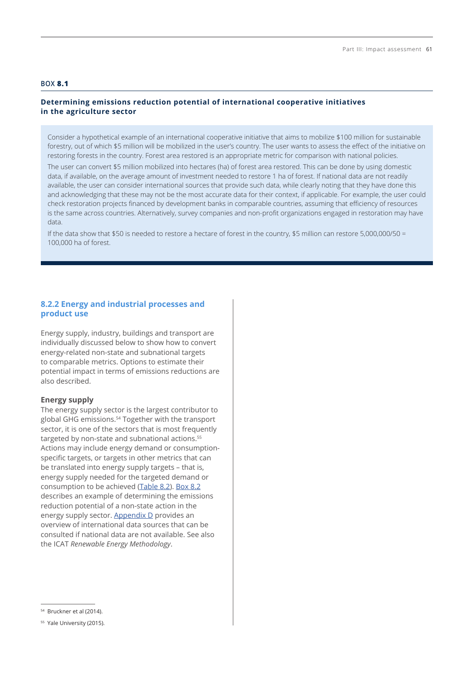# <span id="page-4-0"></span>**BOX 8.1**

# **Determining emissions reduction potential of international cooperative initiatives in the agriculture sector**

Consider a hypothetical example of an international cooperative initiative that aims to mobilize \$100 million for sustainable forestry, out of which \$5 million will be mobilized in the user's country. The user wants to assess the effect of the initiative on restoring forests in the country. Forest area restored is an appropriate metric for comparison with national policies.

The user can convert \$5 million mobilized into hectares (ha) of forest area restored. This can be done by using domestic data, if available, on the average amount of investment needed to restore 1 ha of forest. If national data are not readily available, the user can consider international sources that provide such data, while clearly noting that they have done this and acknowledging that these may not be the most accurate data for their context, if applicable. For example, the user could check restoration projects financed by development banks in comparable countries, assuming that efficiency of resources is the same across countries. Alternatively, survey companies and non-profit organizations engaged in restoration may have data.

If the data show that \$50 is needed to restore a hectare of forest in the country, \$5 million can restore 5,000,000/50 = 100,000 ha of forest.

## **8.2.2 Energy and industrial processes and product use**

Energy supply, industry, buildings and transport are individually discussed below to show how to convert energy-related non-state and subnational targets to comparable metrics. Options to estimate their potential impact in terms of emissions reductions are also described.

## **Energy supply**

The energy supply sector is the largest contributor to global GHG emissions.54 Together with the transport sector, it is one of the sectors that is most frequently targeted by non-state and subnational actions.<sup>55</sup> Actions may include energy demand or consumptionspecific targets, or targets in other metrics that can be translated into energy supply targets – that is, energy supply needed for the targeted demand or consumption to be achieved ([Table 8.2\)](#page-5-0). [Box 8](#page-6-0).2 describes an example of determining the emissions reduction potential of a non-state action in the energy supply sector. Appendix D provides an overview of international data sources that can be consulted if national data are not available. See also the ICAT *Renewable Energy Methodology*.

<sup>54</sup> Bruckner et al (2014).

<sup>&</sup>lt;sup>55</sup> Yale University (2015).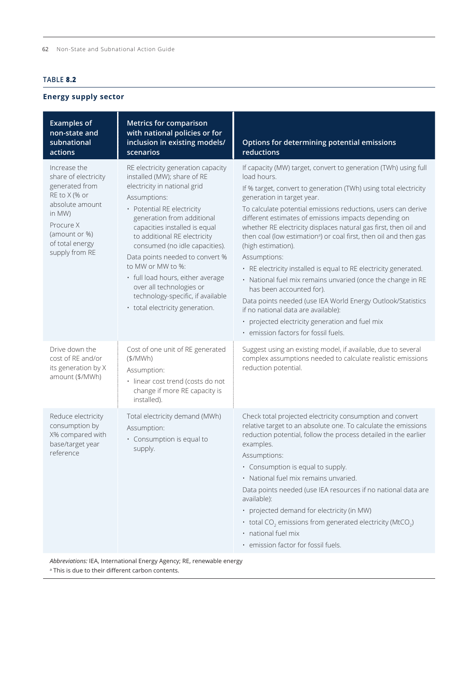# <span id="page-5-0"></span>**TABLE 8.2**

# **Energy supply sector**

| <b>Examples of</b><br>non-state and<br>subnational<br>actions                                                                                                           | <b>Metrics for comparison</b><br>with national policies or for<br>inclusion in existing models/<br>scenarios                                                                                                                                                                                                                                                                                                                                                                      | Options for determining potential emissions<br>reductions                                                                                                                                                                                                                                                                                                                                                                                                                                                                                                                                                                                                                                                                                                                                                                                                             |
|-------------------------------------------------------------------------------------------------------------------------------------------------------------------------|-----------------------------------------------------------------------------------------------------------------------------------------------------------------------------------------------------------------------------------------------------------------------------------------------------------------------------------------------------------------------------------------------------------------------------------------------------------------------------------|-----------------------------------------------------------------------------------------------------------------------------------------------------------------------------------------------------------------------------------------------------------------------------------------------------------------------------------------------------------------------------------------------------------------------------------------------------------------------------------------------------------------------------------------------------------------------------------------------------------------------------------------------------------------------------------------------------------------------------------------------------------------------------------------------------------------------------------------------------------------------|
| Increase the<br>share of electricity<br>generated from<br>RE to X (% or<br>absolute amount<br>in MW)<br>Procure X<br>(amount or %)<br>of total energy<br>supply from RE | RE electricity generation capacity<br>installed (MW); share of RE<br>electricity in national grid<br>Assumptions:<br>• Potential RE electricity<br>generation from additional<br>capacities installed is equal<br>to additional RE electricity<br>consumed (no idle capacities).<br>Data points needed to convert %<br>to MW or MW to %:<br>· full load hours, either average<br>over all technologies or<br>technology-specific, if available<br>• total electricity generation. | If capacity (MW) target, convert to generation (TWh) using full<br>load hours.<br>If % target, convert to generation (TWh) using total electricity<br>generation in target year.<br>To calculate potential emissions reductions, users can derive<br>different estimates of emissions impacts depending on<br>whether RE electricity displaces natural gas first, then oil and<br>then coal (low estimation <sup>a</sup> ) or coal first, then oil and then gas<br>(high estimation).<br>Assumptions:<br>· RE electricity installed is equal to RE electricity generated.<br>· National fuel mix remains unvaried (once the change in RE<br>has been accounted for).<br>Data points needed (use IEA World Energy Outlook/Statistics<br>if no national data are available):<br>· projected electricity generation and fuel mix<br>· emission factors for fossil fuels. |
| Drive down the<br>cost of RE and/or<br>its generation by X<br>amount (\$/MWh)                                                                                           | Cost of one unit of RE generated<br>(\$/MWh)<br>Assumption:<br>· linear cost trend (costs do not<br>change if more RE capacity is<br>installed).                                                                                                                                                                                                                                                                                                                                  | Suggest using an existing model, if available, due to several<br>complex assumptions needed to calculate realistic emissions<br>reduction potential.                                                                                                                                                                                                                                                                                                                                                                                                                                                                                                                                                                                                                                                                                                                  |
| Reduce electricity<br>consumption by<br>X% compared with<br>base/target year<br>reference                                                                               | Total electricity demand (MWh)<br>Assumption:<br>· Consumption is equal to<br>supply.                                                                                                                                                                                                                                                                                                                                                                                             | Check total projected electricity consumption and convert<br>relative target to an absolute one. To calculate the emissions<br>reduction potential, follow the process detailed in the earlier<br>examples.<br>Assumptions:<br>• Consumption is equal to supply.<br>· National fuel mix remains unvaried.<br>Data points needed (use IEA resources if no national data are<br>available):<br>• projected demand for electricity (in MW)<br>$\cdot$ total CO <sub>2</sub> emissions from generated electricity (MtCO <sub>2</sub> )<br>· national fuel mix<br>· emission factor for fossil fuels.                                                                                                                                                                                                                                                                      |

*Abbreviations:* IEA, International Energy Agency; RE, renewable energy

<sup>a</sup> This is due to their different carbon contents.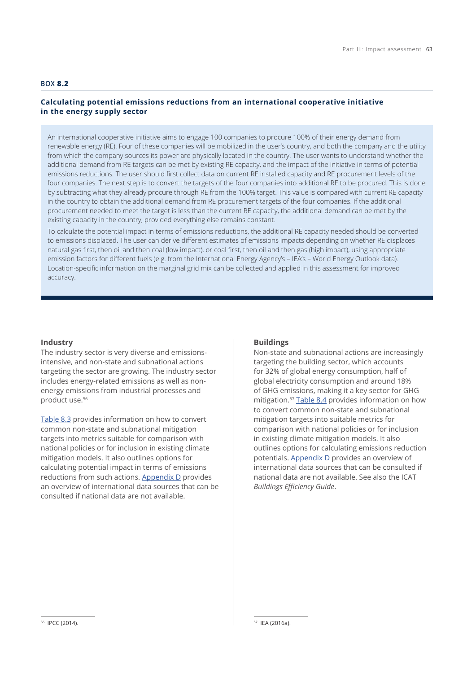## <span id="page-6-0"></span>**BOX 8.2**

# **Calculating potential emissions reductions from an international cooperative initiative in the energy supply sector**

An international cooperative initiative aims to engage 100 companies to procure 100% of their energy demand from renewable energy (RE). Four of these companies will be mobilized in the user's country, and both the company and the utility from which the company sources its power are physically located in the country. The user wants to understand whether the additional demand from RE targets can be met by existing RE capacity, and the impact of the initiative in terms of potential emissions reductions. The user should first collect data on current RE installed capacity and RE procurement levels of the four companies. The next step is to convert the targets of the four companies into additional RE to be procured. This is done by subtracting what they already procure through RE from the 100% target. This value is compared with current RE capacity in the country to obtain the additional demand from RE procurement targets of the four companies. If the additional procurement needed to meet the target is less than the current RE capacity, the additional demand can be met by the existing capacity in the country, provided everything else remains constant.

To calculate the potential impact in terms of emissions reductions, the additional RE capacity needed should be converted to emissions displaced. The user can derive different estimates of emissions impacts depending on whether RE displaces natural gas first, then oil and then coal (low impact), or coal first, then oil and then gas (high impact), using appropriate emission factors for different fuels (e.g. from the International Energy Agency's – IEA's – World Energy Outlook data). Location-specific information on the marginal grid mix can be collected and applied in this assessment for improved accuracy.

#### **Industry**

The industry sector is very diverse and emissionsintensive, and non-state and subnational actions targeting the sector are growing. The industry sector includes energy-related emissions as well as nonenergy emissions from industrial processes and product use.<sup>56</sup>

[Table 8.3](#page-7-0) provides information on how to convert common non-state and subnational mitigation targets into metrics suitable for comparison with national policies or for inclusion in existing climate mitigation models. It also outlines options for calculating potential impact in terms of emissions reductions from such actions. Appendix D provides an overview of international data sources that can be consulted if national data are not available.

#### **Buildings**

Non-state and subnational actions are increasingly targeting the building sector, which accounts for 32% of global energy consumption, half of global electricity consumption and around 18% of GHG emissions, making it a key sector for GHG mitigation.<sup>57</sup> [Table 8.4](#page-8-0) provides information on how to convert common non-state and subnational mitigation targets into suitable metrics for comparison with national policies or for inclusion in existing climate mitigation models. It also outlines options for calculating emissions reduction potentials. Appendix D provides an overview of international data sources that can be consulted if national data are not available. See also the ICAT *Buildings Efficiency Guide*.

<sup>57</sup> IEA (2016a).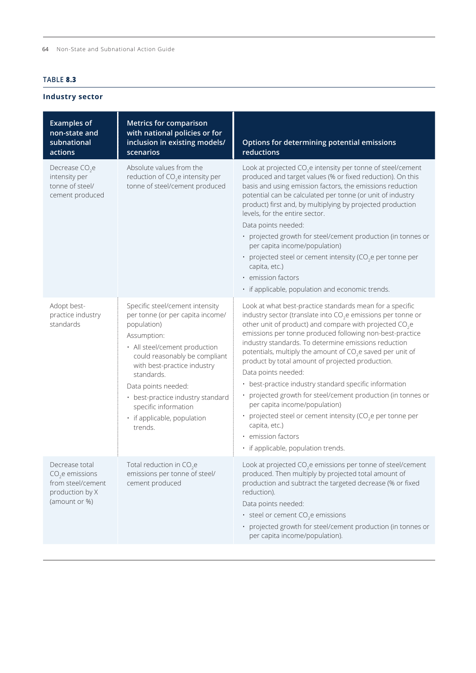# <span id="page-7-0"></span>**TABLE 8.3**

**Industry sector**

| <b>Examples of</b><br>non-state and<br>subnational<br>actions                               | <b>Metrics for comparison</b><br>with national policies or for<br>inclusion in existing models/<br>scenarios                                                                                                                                                                                                                                   | Options for determining potential emissions<br>reductions                                                                                                                                                                                                                                                                                                                                                                                                                                                                                                                                                                                                                                                                                                                                             |
|---------------------------------------------------------------------------------------------|------------------------------------------------------------------------------------------------------------------------------------------------------------------------------------------------------------------------------------------------------------------------------------------------------------------------------------------------|-------------------------------------------------------------------------------------------------------------------------------------------------------------------------------------------------------------------------------------------------------------------------------------------------------------------------------------------------------------------------------------------------------------------------------------------------------------------------------------------------------------------------------------------------------------------------------------------------------------------------------------------------------------------------------------------------------------------------------------------------------------------------------------------------------|
| Decrease $CO2e$<br>intensity per<br>tonne of steel/<br>cement produced                      | Absolute values from the<br>reduction of CO <sub>2</sub> e intensity per<br>tonne of steel/cement produced                                                                                                                                                                                                                                     | Look at projected CO <sub>2</sub> e intensity per tonne of steel/cement<br>produced and target values (% or fixed reduction). On this<br>basis and using emission factors, the emissions reduction<br>potential can be calculated per tonne (or unit of industry<br>product) first and, by multiplying by projected production<br>levels, for the entire sector.<br>Data points needed:<br>· projected growth for steel/cement production (in tonnes or<br>per capita income/population)<br>• projected steel or cement intensity (CO <sub>2</sub> e per tonne per<br>capita, etc.)<br>· emission factors<br>· if applicable, population and economic trends.                                                                                                                                         |
| Adopt best-<br>practice industry<br>standards                                               | Specific steel/cement intensity<br>per tonne (or per capita income/<br>population)<br>Assumption:<br>· All steel/cement production<br>could reasonably be compliant<br>with best-practice industry<br>standards.<br>Data points needed:<br>• best-practice industry standard<br>specific information<br>· if applicable, population<br>trends. | Look at what best-practice standards mean for a specific<br>industry sector (translate into CO <sub>2</sub> e emissions per tonne or<br>other unit of product) and compare with projected CO <sub>2</sub> e<br>emissions per tonne produced following non-best-practice<br>industry standards. To determine emissions reduction<br>potentials, multiply the amount of CO <sub>2</sub> e saved per unit of<br>product by total amount of projected production.<br>Data points needed:<br>• best-practice industry standard specific information<br>projected growth for steel/cement production (in tonnes or<br>per capita income/population)<br>• projected steel or cement intensity (CO <sub>2</sub> e per tonne per<br>capita, etc.)<br>· emission factors<br>· if applicable, population trends. |
| Decrease total<br>$CO2e$ emissions<br>from steel/cement<br>production by X<br>(amount or %) | Total reduction in CO <sub>3</sub> e<br>emissions per tonne of steel/<br>cement produced                                                                                                                                                                                                                                                       | Look at projected CO <sub>2</sub> e emissions per tonne of steel/cement<br>produced. Then multiply by projected total amount of<br>production and subtract the targeted decrease (% or fixed<br>reduction).<br>Data points needed:<br>$\cdot$ steel or cement CO <sub>2</sub> e emissions<br>· projected growth for steel/cement production (in tonnes or<br>per capita income/population).                                                                                                                                                                                                                                                                                                                                                                                                           |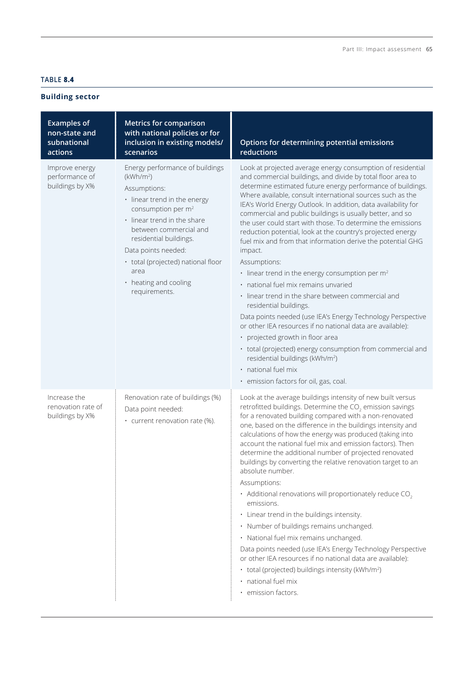# <span id="page-8-0"></span>**TABLE 8.4**

# **Building sector**

| <b>Examples of</b><br>non-state and<br>subnational<br>actions | <b>Metrics for comparison</b><br>with national policies or for<br>inclusion in existing models/<br>scenarios                                                                                                                                                                                                                                 | Options for determining potential emissions<br>reductions                                                                                                                                                                                                                                                                                                                                                                                                                                                                                                                                                                                                                                                                                                                                                                                                                                                                                                                                                                                                                                                                                                  |
|---------------------------------------------------------------|----------------------------------------------------------------------------------------------------------------------------------------------------------------------------------------------------------------------------------------------------------------------------------------------------------------------------------------------|------------------------------------------------------------------------------------------------------------------------------------------------------------------------------------------------------------------------------------------------------------------------------------------------------------------------------------------------------------------------------------------------------------------------------------------------------------------------------------------------------------------------------------------------------------------------------------------------------------------------------------------------------------------------------------------------------------------------------------------------------------------------------------------------------------------------------------------------------------------------------------------------------------------------------------------------------------------------------------------------------------------------------------------------------------------------------------------------------------------------------------------------------------|
| Improve energy<br>performance of<br>buildings by X%           | Energy performance of buildings<br>(kWh/m <sup>2</sup> )<br>Assumptions:<br>· linear trend in the energy<br>consumption per m <sup>2</sup><br>· linear trend in the share<br>between commercial and<br>residential buildings.<br>Data points needed:<br>• total (projected) national floor<br>area<br>• heating and cooling<br>requirements. | Look at projected average energy consumption of residential<br>and commercial buildings, and divide by total floor area to<br>determine estimated future energy performance of buildings.<br>Where available, consult international sources such as the<br>IEA's World Energy Outlook. In addition, data availability for<br>commercial and public buildings is usually better, and so<br>the user could start with those. To determine the emissions<br>reduction potential, look at the country's projected energy<br>fuel mix and from that information derive the potential GHG<br>impact.<br>Assumptions:<br>$\cdot$ linear trend in the energy consumption per m <sup>2</sup><br>· national fuel mix remains unvaried<br>· linear trend in the share between commercial and<br>residential buildings.<br>Data points needed (use IEA's Energy Technology Perspective<br>or other IEA resources if no national data are available):<br>• projected growth in floor area<br>• total (projected) energy consumption from commercial and<br>residential buildings (kWh/m <sup>2</sup> )<br>· national fuel mix<br>· emission factors for oil, gas, coal. |
| Increase the<br>renovation rate of<br>buildings by X%         | Renovation rate of buildings (%)<br>Data point needed:<br>• current renovation rate (%).                                                                                                                                                                                                                                                     | Look at the average buildings intensity of new built versus<br>retrofitted buildings. Determine the CO <sub>2</sub> emission savings<br>for a renovated building compared with a non-renovated<br>one, based on the difference in the buildings intensity and<br>calculations of how the energy was produced (taking into<br>account the national fuel mix and emission factors). Then<br>determine the additional number of projected renovated<br>buildings by converting the relative renovation target to an<br>absolute number.<br>Assumptions:<br>$\cdot$ Additional renovations will proportionately reduce CO <sub>2</sub><br>emissions.<br>• Linear trend in the buildings intensity.<br>· Number of buildings remains unchanged.<br>· National fuel mix remains unchanged.<br>Data points needed (use IEA's Energy Technology Perspective<br>or other IEA resources if no national data are available):<br>• total (projected) buildings intensity (kWh/m <sup>2</sup> )<br>· national fuel mix<br>· emission factors.                                                                                                                           |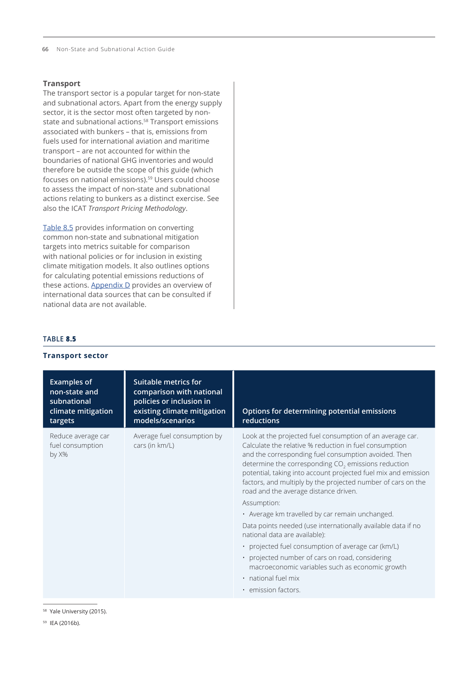66 Non-State and Subnational Action Guide

## **Transport**

The transport sector is a popular target for non-state and subnational actors. Apart from the energy supply sector, it is the sector most often targeted by nonstate and subnational actions.58 Transport emissions associated with bunkers – that is, emissions from fuels used for international aviation and maritime transport – are not accounted for within the boundaries of national GHG inventories and would therefore be outside the scope of this guide (which focuses on national emissions).<sup>59</sup> Users could choose to assess the impact of non-state and subnational actions relating to bunkers as a distinct exercise. See also the ICAT *Transport Pricing Methodology*.

Table 8.5 provides information on converting common non-state and subnational mitigation targets into metrics suitable for comparison with national policies or for inclusion in existing climate mitigation models. It also outlines options for calculating potential emissions reductions of these actions. Appendix D provides an overview of international data sources that can be consulted if national data are not available.

## **TABLE 8.5**

| <b>THANSPOLY SECTOR</b>                                                             |                                                                                                                                        |                                                                                                                                                                                                                                                                                                                                                                                                                                                                                                                                                                                                                                                                                                                                                                                                        |
|-------------------------------------------------------------------------------------|----------------------------------------------------------------------------------------------------------------------------------------|--------------------------------------------------------------------------------------------------------------------------------------------------------------------------------------------------------------------------------------------------------------------------------------------------------------------------------------------------------------------------------------------------------------------------------------------------------------------------------------------------------------------------------------------------------------------------------------------------------------------------------------------------------------------------------------------------------------------------------------------------------------------------------------------------------|
| <b>Examples of</b><br>non-state and<br>subnational<br>climate mitigation<br>targets | <b>Suitable metrics for</b><br>comparison with national<br>policies or inclusion in<br>existing climate mitigation<br>models/scenarios | Options for determining potential emissions<br>reductions                                                                                                                                                                                                                                                                                                                                                                                                                                                                                                                                                                                                                                                                                                                                              |
| Reduce average car<br>fuel consumption<br>by X%                                     | Average fuel consumption by<br>cars (in km/L)                                                                                          | Look at the projected fuel consumption of an average car.<br>Calculate the relative % reduction in fuel consumption<br>and the corresponding fuel consumption avoided. Then<br>determine the corresponding CO <sub>2</sub> emissions reduction<br>potential, taking into account projected fuel mix and emission<br>factors, and multiply by the projected number of cars on the<br>road and the average distance driven.<br>Assumption:<br>· Average km travelled by car remain unchanged.<br>Data points needed (use internationally available data if no<br>national data are available):<br>· projected fuel consumption of average car (km/L)<br>• projected number of cars on road, considering<br>macroeconomic variables such as economic growth<br>· national fuel mix<br>• emission factors. |

# **Transport sector**

<sup>58</sup> Yale University (2015).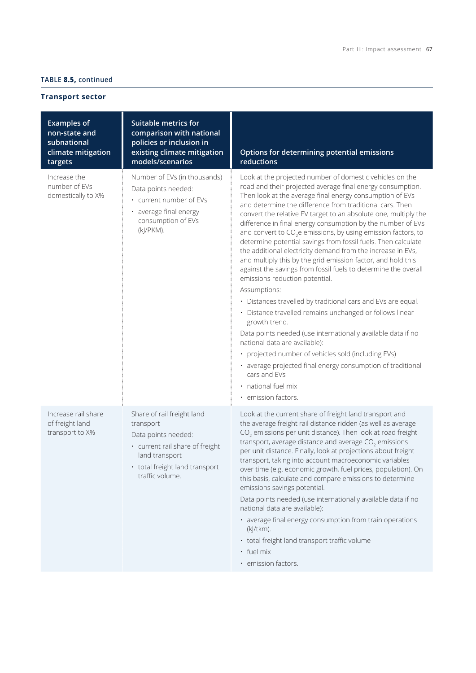# **TABLE 8.5, continued**

# **Transport sector**

|                                                                                     | <b>Suitable metrics for</b>                                                                                                                                              |                                                                                                                                                                                                                                                                                                                                                                                                                                                                                                                                                                                                                                                                                                                                                                                                                                                                                                                                                                                                                                                                                                                                                                                                                     |
|-------------------------------------------------------------------------------------|--------------------------------------------------------------------------------------------------------------------------------------------------------------------------|---------------------------------------------------------------------------------------------------------------------------------------------------------------------------------------------------------------------------------------------------------------------------------------------------------------------------------------------------------------------------------------------------------------------------------------------------------------------------------------------------------------------------------------------------------------------------------------------------------------------------------------------------------------------------------------------------------------------------------------------------------------------------------------------------------------------------------------------------------------------------------------------------------------------------------------------------------------------------------------------------------------------------------------------------------------------------------------------------------------------------------------------------------------------------------------------------------------------|
| <b>Examples of</b><br>non-state and<br>subnational<br>climate mitigation<br>targets | comparison with national<br>policies or inclusion in<br>existing climate mitigation<br>models/scenarios                                                                  | Options for determining potential emissions<br>reductions                                                                                                                                                                                                                                                                                                                                                                                                                                                                                                                                                                                                                                                                                                                                                                                                                                                                                                                                                                                                                                                                                                                                                           |
| Increase the<br>number of EVs<br>domestically to X%                                 | Number of EVs (in thousands)<br>Data points needed:<br>• current number of EVs<br>· average final energy<br>consumption of EVs<br>(kJ/PKM).                              | Look at the projected number of domestic vehicles on the<br>road and their projected average final energy consumption.<br>Then look at the average final energy consumption of EVs<br>and determine the difference from traditional cars. Then<br>convert the relative EV target to an absolute one, multiply the<br>difference in final energy consumption by the number of EVs<br>and convert to CO <sub>2</sub> e emissions, by using emission factors, to<br>determine potential savings from fossil fuels. Then calculate<br>the additional electricity demand from the increase in EVs,<br>and multiply this by the grid emission factor, and hold this<br>against the savings from fossil fuels to determine the overall<br>emissions reduction potential.<br>Assumptions:<br>· Distances travelled by traditional cars and EVs are equal.<br>· Distance travelled remains unchanged or follows linear<br>growth trend.<br>Data points needed (use internationally available data if no<br>national data are available):<br>· projected number of vehicles sold (including EVs)<br>· average projected final energy consumption of traditional<br>cars and EVs<br>· national fuel mix<br>· emission factors. |
| Increase rail share<br>of freight land<br>transport to X%                           | Share of rail freight land<br>transport<br>Data points needed:<br>· current rail share of freight<br>land transport<br>• total freight land transport<br>traffic volume. | Look at the current share of freight land transport and<br>the average freight rail distance ridden (as well as average<br>CO <sub>2</sub> emissions per unit distance). Then look at road freight<br>transport, average distance and average CO <sub>2</sub> emissions<br>per unit distance. Finally, look at projections about freight<br>transport, taking into account macroeconomic variables<br>over time (e.g. economic growth, fuel prices, population). On<br>this basis, calculate and compare emissions to determine<br>emissions savings potential.<br>Data points needed (use internationally available data if no<br>national data are available):<br>· average final energy consumption from train operations<br>$(k]/tkm)$ .<br>• total freight land transport traffic volume<br>· fuel mix<br>· emission factors.                                                                                                                                                                                                                                                                                                                                                                                  |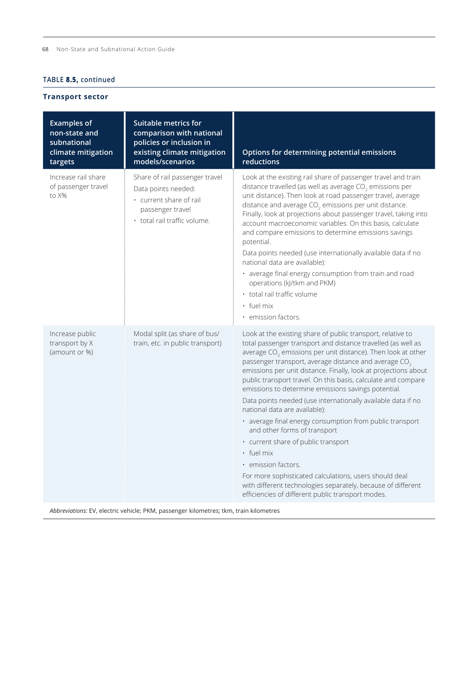# **TABLE 8.5, continued**

## **Transport sector**

| <b>Examples of</b><br>non-state and<br>subnational<br>climate mitigation<br>targets | <b>Suitable metrics for</b><br>comparison with national<br>policies or inclusion in<br>existing climate mitigation<br>models/scenarios | Options for determining potential emissions<br>reductions                                                                                                                                                                                                                                                                                                                                                                                                                                                                                                                                                                                                                                                                                                                                                                                                                                                             |
|-------------------------------------------------------------------------------------|----------------------------------------------------------------------------------------------------------------------------------------|-----------------------------------------------------------------------------------------------------------------------------------------------------------------------------------------------------------------------------------------------------------------------------------------------------------------------------------------------------------------------------------------------------------------------------------------------------------------------------------------------------------------------------------------------------------------------------------------------------------------------------------------------------------------------------------------------------------------------------------------------------------------------------------------------------------------------------------------------------------------------------------------------------------------------|
| Increase rail share<br>of passenger travel<br>to X%                                 | Share of rail passenger travel<br>Data points needed:<br>· current share of rail<br>passenger travel<br>· total rail traffic volume.   | Look at the existing rail share of passenger travel and train<br>distance travelled (as well as average $CO2$ emissions per<br>unit distance). Then look at road passenger travel, average<br>distance and average $CO2$ emissions per unit distance.<br>Finally, look at projections about passenger travel, taking into<br>account macroeconomic variables. On this basis, calculate<br>and compare emissions to determine emissions savings<br>potential.<br>Data points needed (use internationally available data if no<br>national data are available):<br>· average final energy consumption from train and road<br>operations (kJ/tkm and PKM)<br>· total rail traffic volume<br>$\cdot$ fuel mix<br>• emission factors.                                                                                                                                                                                      |
| Increase public<br>transport by X<br>(amount or %)                                  | Modal split (as share of bus/<br>train, etc. in public transport)                                                                      | Look at the existing share of public transport, relative to<br>total passenger transport and distance travelled (as well as<br>average $CO2$ emissions per unit distance). Then look at other<br>passenger transport, average distance and average CO <sub>2</sub><br>emissions per unit distance. Finally, look at projections about<br>public transport travel. On this basis, calculate and compare<br>emissions to determine emissions savings potential.<br>Data points needed (use internationally available data if no<br>national data are available):<br>· average final energy consumption from public transport<br>and other forms of transport<br>· current share of public transport<br>· fuel mix<br>• emission factors.<br>For more sophisticated calculations, users should deal<br>with different technologies separately, because of different<br>efficiencies of different public transport modes. |

*Abbreviations:* EV, electric vehicle; PKM, passenger kilometres; tkm, train kilometres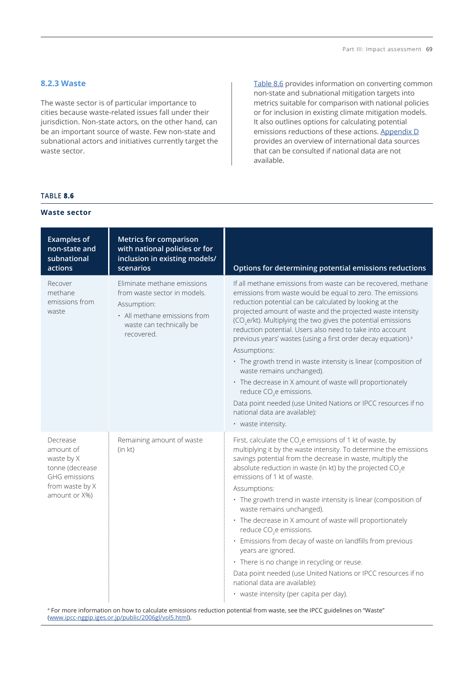## **8.2.3 Waste**

The waste sector is of particular importance to cities because waste-related issues fall under their jurisdiction. Non-state actors, on the other hand, can be an important source of waste. Few non-state and subnational actors and initiatives currently target the waste sector.

Table 8.6 provides information on converting common non-state and subnational mitigation targets into metrics suitable for comparison with national policies or for inclusion in existing climate mitigation models. It also outlines options for calculating potential emissions reductions of these actions. Appendix D provides an overview of international data sources that can be consulted if national data are not available.

## **TABLE 8.6**

#### **Waste sector**

| <b>Examples of</b><br>non-state and<br>subnational<br>actions                                                      | <b>Metrics for comparison</b><br>with national policies or for<br>inclusion in existing models/<br>scenarios                                         | Options for determining potential emissions reductions                                                                                                                                                                                                                                                                                                                                                                                                                                                                                                                                                                                                                                                                                                                                                                  |
|--------------------------------------------------------------------------------------------------------------------|------------------------------------------------------------------------------------------------------------------------------------------------------|-------------------------------------------------------------------------------------------------------------------------------------------------------------------------------------------------------------------------------------------------------------------------------------------------------------------------------------------------------------------------------------------------------------------------------------------------------------------------------------------------------------------------------------------------------------------------------------------------------------------------------------------------------------------------------------------------------------------------------------------------------------------------------------------------------------------------|
| Recover<br>methane<br>emissions from<br>waste                                                                      | Eliminate methane emissions<br>from waste sector in models.<br>Assumption:<br>• All methane emissions from<br>waste can technically be<br>recovered. | If all methane emissions from waste can be recovered, methane<br>emissions from waste would be equal to zero. The emissions<br>reduction potential can be calculated by looking at the<br>projected amount of waste and the projected waste intensity<br>(CO <sub>2</sub> e/kt). Multiplying the two gives the potential emissions<br>reduction potential. Users also need to take into account<br>previous years' wastes (using a first order decay equation). <sup>a</sup><br>Assumptions:<br>· The growth trend in waste intensity is linear (composition of<br>waste remains unchanged).<br>• The decrease in X amount of waste will proportionately<br>reduce CO <sub>2</sub> e emissions.<br>Data point needed (use United Nations or IPCC resources if no<br>national data are available):<br>• waste intensity. |
| Decrease<br>amount of<br>waste by X<br>tonne (decrease<br><b>GHG</b> emissions<br>from waste by X<br>amount or X%) | Remaining amount of waste<br>(in kt)                                                                                                                 | First, calculate the $CO2e$ emissions of 1 kt of waste, by<br>multiplying it by the waste intensity. To determine the emissions<br>savings potential from the decrease in waste, multiply the<br>absolute reduction in waste (in kt) by the projected CO <sub>2</sub> e<br>emissions of 1 kt of waste.<br>Assumptions:<br>· The growth trend in waste intensity is linear (composition of<br>waste remains unchanged).                                                                                                                                                                                                                                                                                                                                                                                                  |
|                                                                                                                    |                                                                                                                                                      | • The decrease in X amount of waste will proportionately<br>reduce CO <sub>2</sub> e emissions.<br>· Emissions from decay of waste on landfills from previous<br>years are ignored.<br>• There is no change in recycling or reuse.<br>Data point needed (use United Nations or IPCC resources if no<br>national data are available):<br>· waste intensity (per capita per day).                                                                                                                                                                                                                                                                                                                                                                                                                                         |

a For more information on how to calculate emissions reduction potential from waste, see the IPCC guidelines on "Waste" ([www.ipcc-nggip.iges.or.jp/public/2006gl/vol5.html\)](http://www.ipcc-nggip.iges.or.jp/public/2006gl/vol5.html).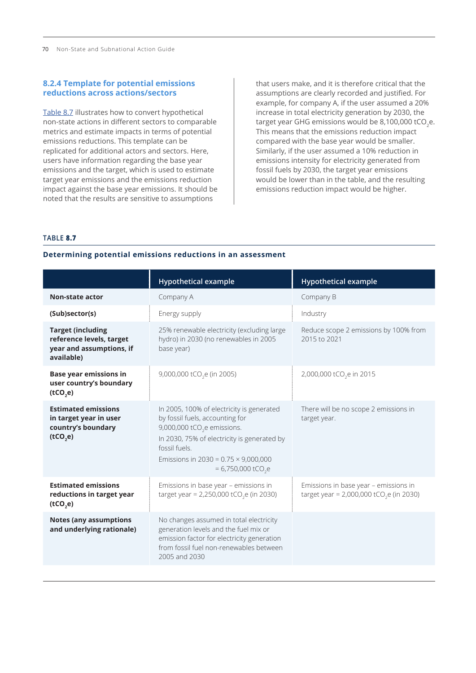## **8.2.4 Template for potential emissions reductions across actions/sectors**

Table 8.7 illustrates how to convert hypothetical non-state actions in different sectors to comparable metrics and estimate impacts in terms of potential emissions reductions. This template can be replicated for additional actors and sectors. Here, users have information regarding the base year emissions and the target, which is used to estimate target year emissions and the emissions reduction impact against the base year emissions. It should be noted that the results are sensitive to assumptions

that users make, and it is therefore critical that the assumptions are clearly recorded and justified. For example, for company A, if the user assumed a 20% increase in total electricity generation by 2030, the target year GHG emissions would be 8,100,000 tCO<sub>3</sub>e. This means that the emissions reduction impact compared with the base year would be smaller. Similarly, if the user assumed a 10% reduction in emissions intensity for electricity generated from fossil fuels by 2030, the target year emissions would be lower than in the table, and the resulting emissions reduction impact would be higher.

#### **TABLE 8.7**

|                                                                                                | <b>Hypothetical example</b>                                                                                                                                                                                                                                                | <b>Hypothetical example</b>                                                                   |
|------------------------------------------------------------------------------------------------|----------------------------------------------------------------------------------------------------------------------------------------------------------------------------------------------------------------------------------------------------------------------------|-----------------------------------------------------------------------------------------------|
| <b>Non-state actor</b>                                                                         | Company A                                                                                                                                                                                                                                                                  | Company B                                                                                     |
| (Sub)sector(s)                                                                                 | Energy supply                                                                                                                                                                                                                                                              | Industry                                                                                      |
| <b>Target (including</b><br>reference levels, target<br>year and assumptions, if<br>available) | 25% renewable electricity (excluding large<br>hydro) in 2030 (no renewables in 2005<br>base year)                                                                                                                                                                          | Reduce scope 2 emissions by 100% from<br>2015 to 2021                                         |
| <b>Base year emissions in</b><br>user country's boundary<br>(tCO,e)                            | 9,000,000 tCO <sub>2</sub> e (in 2005)                                                                                                                                                                                                                                     | 2,000,000 tCO <sub>2</sub> e in 2015                                                          |
| <b>Estimated emissions</b><br>in target year in user<br>country's boundary<br>(tCO,e)          | In 2005, 100% of electricity is generated<br>by fossil fuels, accounting for<br>9,000,000 tCO <sub>2</sub> e emissions.<br>In 2030, 75% of electricity is generated by<br>fossil fuels.<br>Emissions in 2030 = $0.75 \times 9,000,000$<br>$= 6,750,000$ tCO <sub>2</sub> e | There will be no scope 2 emissions in<br>target year.                                         |
| <b>Estimated emissions</b><br>reductions in target year<br>(tCO,e)                             | Emissions in base year - emissions in<br>target year = 2,250,000 tCO <sub>2</sub> e (in 2030)                                                                                                                                                                              | Emissions in base year - emissions in<br>target year = 2,000,000 tCO <sub>2</sub> e (in 2030) |
| <b>Notes (any assumptions</b><br>and underlying rationale)                                     | No changes assumed in total electricity<br>generation levels and the fuel mix or<br>emission factor for electricity generation<br>from fossil fuel non-renewables between<br>2005 and 2030                                                                                 |                                                                                               |

#### **Determining potential emissions reductions in an assessment**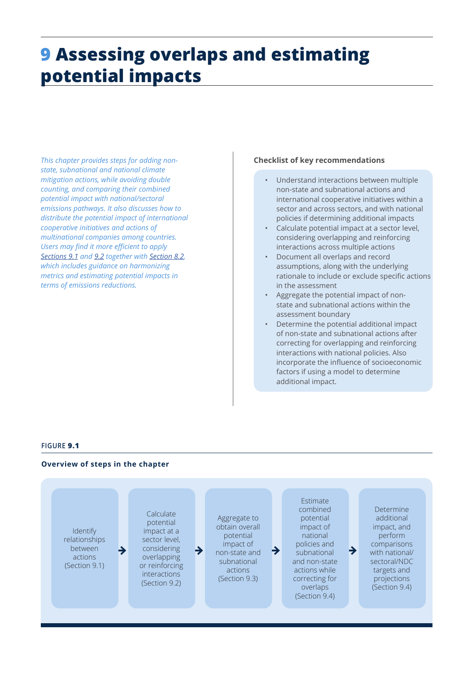# <span id="page-14-0"></span>**9 Assessing overlaps and estimating potential impacts**

*This chapter provides steps for adding nonstate, subnational and national climate mitigation actions, while avoiding double counting, and comparing their combined potential impact with national/sectoral emissions pathways. It also discusses how to distribute the potential impact of international cooperative initiatives and actions of multinational companies among countries. Users may find it more efficient to apply [Sections 9.1](#page-15-0) and [9.2](#page-15-0) together with [Section 8.2](#page-1-0), which includes guidance on harmonizing metrics and estimating potential impacts in terms of emissions reductions.* 

## **Checklist of key recommendations**

- Understand interactions between multiple non-state and subnational actions and international cooperative initiatives within a sector and across sectors, and with national policies if determining additional impacts
- Calculate potential impact at a sector level, considering overlapping and reinforcing interactions across multiple actions
- Document all overlaps and record assumptions, along with the underlying rationale to include or exclude specific actions in the assessment
- Aggregate the potential impact of nonstate and subnational actions within the assessment boundary
- Determine the potential additional impact of non-state and subnational actions after correcting for overlapping and reinforcing interactions with national policies. Also incorporate the influence of socioeconomic factors if using a model to determine additional impact.

## **FIGURE 9.1**

#### **Overview of steps in the chapter**

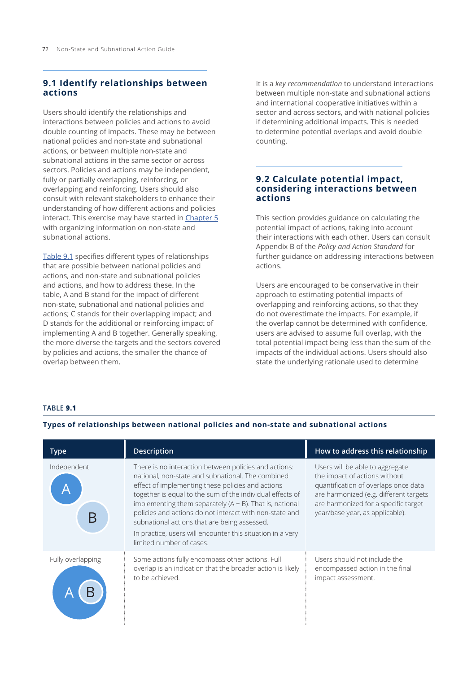# <span id="page-15-0"></span>**9.1 Identify relationships between actions**

Users should identify the relationships and interactions between policies and actions to avoid double counting of impacts. These may be between national policies and non-state and subnational actions, or between multiple non-state and subnational actions in the same sector or across sectors. Policies and actions may be independent, fully or partially overlapping, reinforcing, or overlapping and reinforcing. Users should also consult with relevant stakeholders to enhance their understanding of how different actions and policies interact. This exercise may have started in Chapter 5 with organizing information on non-state and subnational actions.

Table 9.1 specifies different types of relationships that are possible between national policies and actions, and non-state and subnational policies and actions, and how to address these. In the table, A and B stand for the impact of different non-state, subnational and national policies and actions; C stands for their overlapping impact; and D stands for the additional or reinforcing impact of implementing A and B together. Generally speaking, the more diverse the targets and the sectors covered by policies and actions, the smaller the chance of overlap between them.

It is a *key recommendation* to understand interactions between multiple non-state and subnational actions and international cooperative initiatives within a sector and across sectors, and with national policies if determining additional impacts. This is needed to determine potential overlaps and avoid double counting.

# **9.2 Calculate potential impact, considering interactions between actions**

This section provides guidance on calculating the potential impact of actions, taking into account their interactions with each other. Users can consult Appendix B of the *Policy and Action Standard* for further guidance on addressing interactions between actions.

Users are encouraged to be conservative in their approach to estimating potential impacts of overlapping and reinforcing actions, so that they do not overestimate the impacts. For example, if the overlap cannot be determined with confidence, users are advised to assume full overlap, with the total potential impact being less than the sum of the impacts of the individual actions. Users should also state the underlying rationale used to determine

## **TABLE 9.1**

## **Types of relationships between national policies and non-state and subnational actions**

| <b>Type</b>       | <b>Description</b>                                                                                                                                                                                                                                                                                                                                                                                                                                                                              | How to address this relationship                                                                                                                                                                                              |
|-------------------|-------------------------------------------------------------------------------------------------------------------------------------------------------------------------------------------------------------------------------------------------------------------------------------------------------------------------------------------------------------------------------------------------------------------------------------------------------------------------------------------------|-------------------------------------------------------------------------------------------------------------------------------------------------------------------------------------------------------------------------------|
| Independent       | There is no interaction between policies and actions:<br>national, non-state and subnational. The combined<br>effect of implementing these policies and actions<br>together is equal to the sum of the individual effects of<br>implementing them separately $(A + B)$ . That is, national<br>policies and actions do not interact with non-state and<br>subnational actions that are being assessed.<br>In practice, users will encounter this situation in a very<br>limited number of cases. | Users will be able to aggregate<br>the impact of actions without<br>quantification of overlaps once data<br>are harmonized (e.g. different targets<br>are harmonized for a specific target<br>year/base year, as applicable). |
| Fully overlapping | Some actions fully encompass other actions. Full<br>overlap is an indication that the broader action is likely<br>to be achieved.                                                                                                                                                                                                                                                                                                                                                               | Users should not include the<br>encompassed action in the final<br>impact assessment.                                                                                                                                         |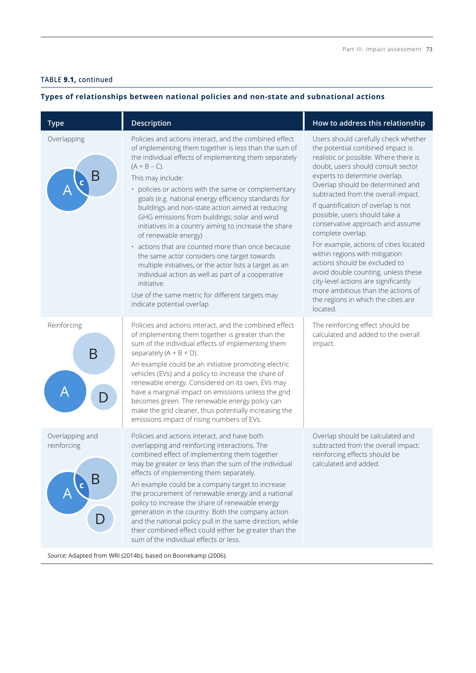## **TABLE 9.1, continued**

## **Types of relationships between national policies and non-state and subnational actions**

| <b>Type</b>                    | Description                                                                                                                                                                                                                                                                                                                                                                                                                                                                                                                                                                                                                                                                                                                                                                                                                                | How to address this relationship                                                                                                                                                                                                                                                                                                                                                                                                                                                                                                                                                                                                                                                          |
|--------------------------------|--------------------------------------------------------------------------------------------------------------------------------------------------------------------------------------------------------------------------------------------------------------------------------------------------------------------------------------------------------------------------------------------------------------------------------------------------------------------------------------------------------------------------------------------------------------------------------------------------------------------------------------------------------------------------------------------------------------------------------------------------------------------------------------------------------------------------------------------|-------------------------------------------------------------------------------------------------------------------------------------------------------------------------------------------------------------------------------------------------------------------------------------------------------------------------------------------------------------------------------------------------------------------------------------------------------------------------------------------------------------------------------------------------------------------------------------------------------------------------------------------------------------------------------------------|
| Overlapping                    | Policies and actions interact, and the combined effect<br>of implementing them together is less than the sum of<br>the individual effects of implementing them separately<br>$(A + B - C).$<br>This may include:<br>policies or actions with the same or complementary<br>goals (e.g. national energy efficiency standards for<br>buildings and non-state action aimed at reducing<br>GHG emissions from buildings; solar and wind<br>initiatives in a country aiming to increase the share<br>of renewable energy)<br>· actions that are counted more than once because<br>the same actor considers one target towards<br>multiple initiatives, or the actor lists a target as an<br>individual action as well as part of a cooperative<br>initiative.<br>Use of the same metric for different targets may<br>indicate potential overlap. | Users should carefully check whether<br>the potential combined impact is<br>realistic or possible. Where there is<br>doubt, users should consult sector<br>experts to determine overlap.<br>Overlap should be determined and<br>subtracted from the overall impact.<br>If quantification of overlap is not<br>possible, users should take a<br>conservative approach and assume<br>complete overlap.<br>For example, actions of cities located<br>within regions with mitigation<br>actions should be excluded to<br>avoid double counting, unless these<br>city-level actions are significantly<br>more ambitious than the actions of<br>the regions in which the cities are<br>located. |
| Reinforcing<br>Β               | Policies and actions interact, and the combined effect<br>of implementing them together is greater than the<br>sum of the individual effects of implementing them<br>separately $(A + B + D)$ .<br>An example could be an initiative promoting electric<br>vehicles (EVs) and a policy to increase the share of<br>renewable energy. Considered on its own, EVs may<br>have a marginal impact on emissions unless the grid<br>becomes green. The renewable energy policy can<br>make the grid cleaner, thus potentially increasing the<br>emissions impact of rising numbers of EVs.                                                                                                                                                                                                                                                       | The reinforcing effect should be<br>calculated and added to the overall<br>impact.                                                                                                                                                                                                                                                                                                                                                                                                                                                                                                                                                                                                        |
| Overlapping and<br>reinforcing | Policies and actions interact, and have both<br>overlapping and reinforcing interactions. The<br>combined effect of implementing them together<br>may be greater or less than the sum of the individual<br>effects of implementing them separately.<br>An example could be a company target to increase<br>the procurement of renewable energy and a national<br>policy to increase the share of renewable energy<br>generation in the country. Both the company action<br>and the national policy pull in the same direction, while<br>their combined effect could either be greater than the<br>sum of the individual effects or less.                                                                                                                                                                                                   | Overlap should be calculated and<br>subtracted from the overall impact;<br>reinforcing effects should be<br>calculated and added.                                                                                                                                                                                                                                                                                                                                                                                                                                                                                                                                                         |

*Source:* Adapted from WRI (2014b), based on Boonekamp (2006).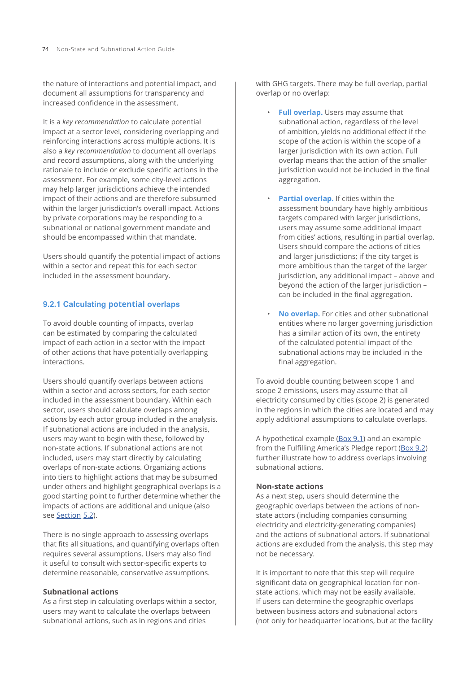the nature of interactions and potential impact, and document all assumptions for transparency and increased confidence in the assessment.

It is a *key recommendation* to calculate potential impact at a sector level, considering overlapping and reinforcing interactions across multiple actions. It is also a *key recommendation* to document all overlaps and record assumptions, along with the underlying rationale to include or exclude specific actions in the assessment. For example, some city-level actions may help larger jurisdictions achieve the intended impact of their actions and are therefore subsumed within the larger jurisdiction's overall impact. Actions by private corporations may be responding to a subnational or national government mandate and should be encompassed within that mandate.

Users should quantify the potential impact of actions within a sector and repeat this for each sector included in the assessment boundary.

## **9.2.1 Calculating potential overlaps**

To avoid double counting of impacts, overlap can be estimated by comparing the calculated impact of each action in a sector with the impact of other actions that have potentially overlapping interactions.

Users should quantify overlaps between actions within a sector and across sectors, for each sector included in the assessment boundary. Within each sector, users should calculate overlaps among actions by each actor group included in the analysis. If subnational actions are included in the analysis, users may want to begin with these, followed by non-state actions. If subnational actions are not included, users may start directly by calculating overlaps of non-state actions. Organizing actions into tiers to highlight actions that may be subsumed under others and highlight geographical overlaps is a good starting point to further determine whether the impacts of actions are additional and unique (also see Section 5.2).

There is no single approach to assessing overlaps that fits all situations, and quantifying overlaps often requires several assumptions. Users may also find it useful to consult with sector-specific experts to determine reasonable, conservative assumptions.

## **Subnational actions**

As a first step in calculating overlaps within a sector, users may want to calculate the overlaps between subnational actions, such as in regions and cities

with GHG targets. There may be full overlap, partial overlap or no overlap:

- **Full overlap.** Users may assume that subnational action, regardless of the level of ambition, yields no additional effect if the scope of the action is within the scope of a larger jurisdiction with its own action. Full overlap means that the action of the smaller jurisdiction would not be included in the final aggregation.
- **Partial overlap.** If cities within the assessment boundary have highly ambitious targets compared with larger jurisdictions, users may assume some additional impact from cities' actions, resulting in partial overlap. Users should compare the actions of cities and larger jurisdictions; if the city target is more ambitious than the target of the larger jurisdiction, any additional impact – above and beyond the action of the larger jurisdiction – can be included in the final aggregation.
- **No overlap.** For cities and other subnational entities where no larger governing jurisdiction has a similar action of its own, the entirety of the calculated potential impact of the subnational actions may be included in the final aggregation.

To avoid double counting between scope 1 and scope 2 emissions, users may assume that all electricity consumed by cities (scope 2) is generated in the regions in which the cities are located and may apply additional assumptions to calculate overlaps.

A hypothetical example ([Box 9.1](#page-18-0)) and an example from the Fulfilling America's Pledge report [\(Box 9.2](#page-18-0)) further illustrate how to address overlaps involving subnational actions.

## **Non-state actions**

As a next step, users should determine the geographic overlaps between the actions of nonstate actors (including companies consuming electricity and electricity-generating companies) and the actions of subnational actors. If subnational actions are excluded from the analysis, this step may not be necessary.

It is important to note that this step will require significant data on geographical location for nonstate actions, which may not be easily available. If users can determine the geographic overlaps between business actors and subnational actors (not only for headquarter locations, but at the facility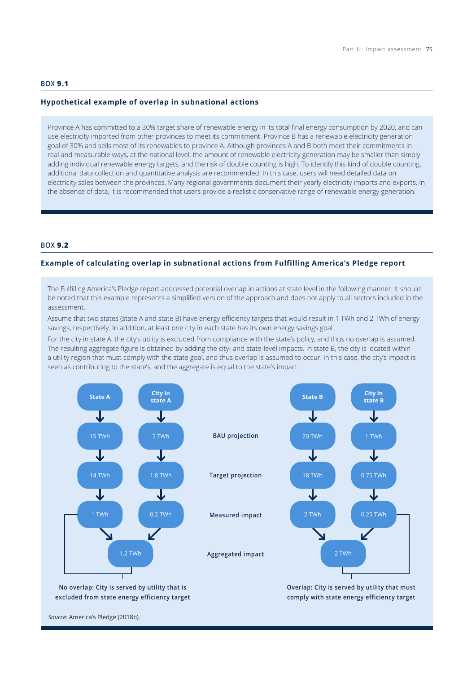#### <span id="page-18-0"></span>**BOX 9.1**

#### **Hypothetical example of overlap in subnational actions**

Province A has committed to a 30% target share of renewable energy in its total final energy consumption by 2020, and can use electricity imported from other provinces to meet its commitment. Province B has a renewable electricity generation goal of 30% and sells most of its renewables to province A. Although provinces A and B both meet their commitments in real and measurable ways, at the national level, the amount of renewable electricity generation may be smaller than simply adding individual renewable energy targets, and the risk of double counting is high. To identify this kind of double counting, additional data collection and quantitative analysis are recommended. In this case, users will need detailed data on electricity sales between the provinces. Many regional governments document their yearly electricity imports and exports. In the absence of data, it is recommended that users provide a realistic conservative range of renewable energy generation.

# **BOX 9.2**

#### **Example of calculating overlap in subnational actions from Fulfilling America's Pledge report**

The Fulfilling America's Pledge report addressed potential overlap in actions at state level in the following manner. It should be noted that this example represents a simplified version of the approach and does not apply to all sectors included in the assessment.

Assume that two states (state A and state B) have energy efficiency targets that would result in 1 TWh and 2 TWh of energy savings, respectively. In addition, at least one city in each state has its own energy savings goal.

For the city in state A, the city's utility is excluded from compliance with the state's policy, and thus no overlap is assumed. The resulting aggregate figure is obtained by adding the city- and state-level impacts. In state B, the city is located within a utility region that must comply with the state goal, and thus overlap is assumed to occur. In this case, the city's impact is seen as contributing to the state's, and the aggregate is equal to the state's impact.



*Source:* America's Pledge (2018b).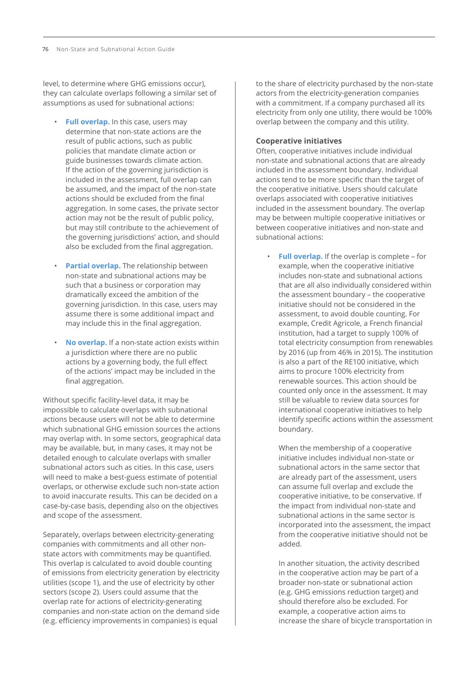level, to determine where GHG emissions occur), they can calculate overlaps following a similar set of assumptions as used for subnational actions:

- **Full overlap.** In this case, users may determine that non-state actions are the result of public actions, such as public policies that mandate climate action or guide businesses towards climate action. If the action of the governing jurisdiction is included in the assessment, full overlap can be assumed, and the impact of the non-state actions should be excluded from the final aggregation. In some cases, the private sector action may not be the result of public policy, but may still contribute to the achievement of the governing jurisdictions' action, and should also be excluded from the final aggregation.
- **Partial overlap.** The relationship between non-state and subnational actions may be such that a business or corporation may dramatically exceed the ambition of the governing jurisdiction. In this case, users may assume there is some additional impact and may include this in the final aggregation.
- **No overlap.** If a non-state action exists within a jurisdiction where there are no public actions by a governing body, the full effect of the actions' impact may be included in the final aggregation.

Without specific facility-level data, it may be impossible to calculate overlaps with subnational actions because users will not be able to determine which subnational GHG emission sources the actions may overlap with. In some sectors, geographical data may be available, but, in many cases, it may not be detailed enough to calculate overlaps with smaller subnational actors such as cities. In this case, users will need to make a best-guess estimate of potential overlaps, or otherwise exclude such non-state action to avoid inaccurate results. This can be decided on a case-by-case basis, depending also on the objectives and scope of the assessment.

Separately, overlaps between electricity-generating companies with commitments and all other nonstate actors with commitments may be quantified. This overlap is calculated to avoid double counting of emissions from electricity generation by electricity utilities (scope 1), and the use of electricity by other sectors (scope 2). Users could assume that the overlap rate for actions of electricity-generating companies and non-state action on the demand side (e.g. efficiency improvements in companies) is equal

to the share of electricity purchased by the non-state actors from the electricity-generation companies with a commitment. If a company purchased all its electricity from only one utility, there would be 100% overlap between the company and this utility.

#### **Cooperative initiatives**

Often, cooperative initiatives include individual non-state and subnational actions that are already included in the assessment boundary. Individual actions tend to be more specific than the target of the cooperative initiative. Users should calculate overlaps associated with cooperative initiatives included in the assessment boundary. The overlap may be between multiple cooperative initiatives or between cooperative initiatives and non-state and subnational actions:

• **Full overlap.** If the overlap is complete – for example, when the cooperative initiative includes non-state and subnational actions that are all also individually considered within the assessment boundary – the cooperative initiative should not be considered in the assessment, to avoid double counting. For example, Credit Agricole, a French financial institution, had a target to supply 100% of total electricity consumption from renewables by 2016 (up from 46% in 2015). The institution is also a part of the RE100 initiative, which aims to procure 100% electricity from renewable sources. This action should be counted only once in the assessment. It may still be valuable to review data sources for international cooperative initiatives to help identify specific actions within the assessment boundary.

When the membership of a cooperative initiative includes individual non-state or subnational actors in the same sector that are already part of the assessment, users can assume full overlap and exclude the cooperative initiative, to be conservative. If the impact from individual non-state and subnational actions in the same sector is incorporated into the assessment, the impact from the cooperative initiative should not be added.

In another situation, the activity described in the cooperative action may be part of a broader non-state or subnational action (e.g. GHG emissions reduction target) and should therefore also be excluded. For example, a cooperative action aims to increase the share of bicycle transportation in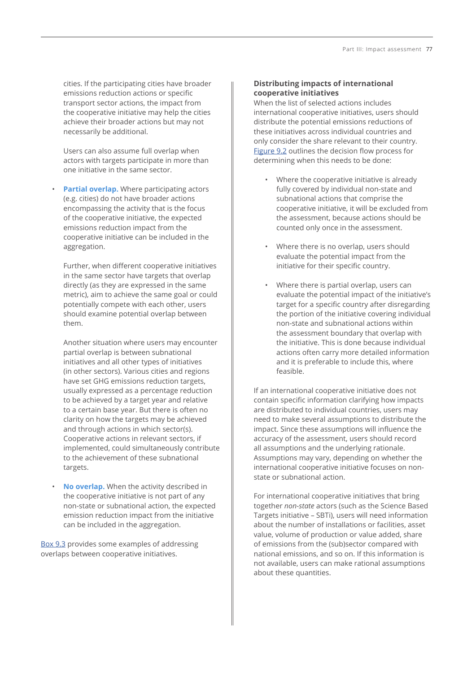cities. If the participating cities have broader emissions reduction actions or specific transport sector actions, the impact from the cooperative initiative may help the cities achieve their broader actions but may not necessarily be additional.

Users can also assume full overlap when actors with targets participate in more than one initiative in the same sector.

• **Partial overlap.** Where participating actors (e.g. cities) do not have broader actions encompassing the activity that is the focus of the cooperative initiative, the expected emissions reduction impact from the cooperative initiative can be included in the aggregation.

Further, when different cooperative initiatives in the same sector have targets that overlap directly (as they are expressed in the same metric), aim to achieve the same goal or could potentially compete with each other, users should examine potential overlap between them.

Another situation where users may encounter partial overlap is between subnational initiatives and all other types of initiatives (in other sectors). Various cities and regions have set GHG emissions reduction targets, usually expressed as a percentage reduction to be achieved by a target year and relative to a certain base year. But there is often no clarity on how the targets may be achieved and through actions in which sector(s). Cooperative actions in relevant sectors, if implemented, could simultaneously contribute to the achievement of these subnational targets.

• **No overlap.** When the activity described in the cooperative initiative is not part of any non-state or subnational action, the expected emission reduction impact from the initiative can be included in the aggregation.

[Box 9.3](#page-21-0) provides some examples of addressing overlaps between cooperative initiatives.

# **Distributing impacts of international cooperative initiatives**

When the list of selected actions includes international cooperative initiatives, users should distribute the potential emissions reductions of these initiatives across individual countries and only consider the share relevant to their country. [Figure 9.2](#page-21-0) outlines the decision flow process for determining when this needs to be done:

- Where the cooperative initiative is already fully covered by individual non-state and subnational actions that comprise the cooperative initiative, it will be excluded from the assessment, because actions should be counted only once in the assessment.
- Where there is no overlap, users should evaluate the potential impact from the initiative for their specific country.
- Where there is partial overlap, users can evaluate the potential impact of the initiative's target for a specific country after disregarding the portion of the initiative covering individual non-state and subnational actions within the assessment boundary that overlap with the initiative. This is done because individual actions often carry more detailed information and it is preferable to include this, where feasible.

If an international cooperative initiative does not contain specific information clarifying how impacts are distributed to individual countries, users may need to make several assumptions to distribute the impact. Since these assumptions will influence the accuracy of the assessment, users should record all assumptions and the underlying rationale. Assumptions may vary, depending on whether the international cooperative initiative focuses on nonstate or subnational action.

For international cooperative initiatives that bring together *non-state* actors (such as the Science Based Targets initiative – SBTi), users will need information about the number of installations or facilities, asset value, volume of production or value added, share of emissions from the (sub)sector compared with national emissions, and so on. If this information is not available, users can make rational assumptions about these quantities.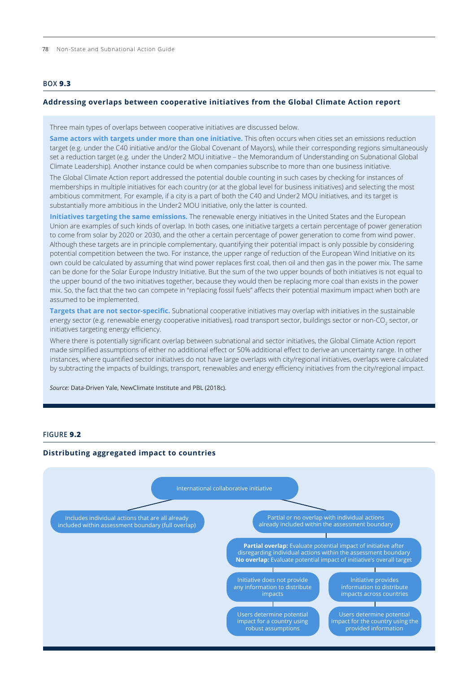<span id="page-21-0"></span>78 Non-State and Subnational Action Guide

## **BOX 9.3**

#### **Addressing overlaps between cooperative initiatives from the Global Climate Action report**

Three main types of overlaps between cooperative initiatives are discussed below.

**Same actors with targets under more than one initiative.** This often occurs when cities set an emissions reduction target (e.g. under the C40 initiative and/or the Global Covenant of Mayors), while their corresponding regions simultaneously set a reduction target (e.g. under the Under2 MOU initiative – the Memorandum of Understanding on Subnational Global Climate Leadership). Another instance could be when companies subscribe to more than one business initiative.

The Global Climate Action report addressed the potential double counting in such cases by checking for instances of memberships in multiple initiatives for each country (or at the global level for business initiatives) and selecting the most ambitious commitment. For example, if a city is a part of both the C40 and Under2 MOU initiatives, and its target is substantially more ambitious in the Under2 MOU initiative, only the latter is counted.

**Initiatives targeting the same emissions.** The renewable energy initiatives in the United States and the European Union are examples of such kinds of overlap. In both cases, one initiative targets a certain percentage of power generation to come from solar by 2020 or 2030, and the other a certain percentage of power generation to come from wind power. Although these targets are in principle complementary, quantifying their potential impact is only possible by considering potential competition between the two. For instance, the upper range of reduction of the European Wind Initiative on its own could be calculated by assuming that wind power replaces first coal, then oil and then gas in the power mix. The same can be done for the Solar Europe Industry Initiative. But the sum of the two upper bounds of both initiatives is not equal to the upper bound of the two initiatives together, because they would then be replacing more coal than exists in the power mix. So, the fact that the two can compete in "replacing fossil fuels" affects their potential maximum impact when both are assumed to be implemented.

**Targets that are not sector-specific.** Subnational cooperative initiatives may overlap with initiatives in the sustainable energy sector (e.g. renewable energy cooperative initiatives), road transport sector, buildings sector or non-CO $_2$  sector, or initiatives targeting energy efficiency.

Where there is potentially significant overlap between subnational and sector initiatives, the Global Climate Action report made simplified assumptions of either no additional effect or 50% additional effect to derive an uncertainty range. In other instances, where quantified sector initiatives do not have large overlaps with city/regional initiatives, overlaps were calculated by subtracting the impacts of buildings, transport, renewables and energy efficiency initiatives from the city/regional impact.

*Source:* Data-Driven Yale, NewClimate Institute and PBL (2018c).

#### **FIGURE 9.2**

#### **Distributing aggregated impact to countries**

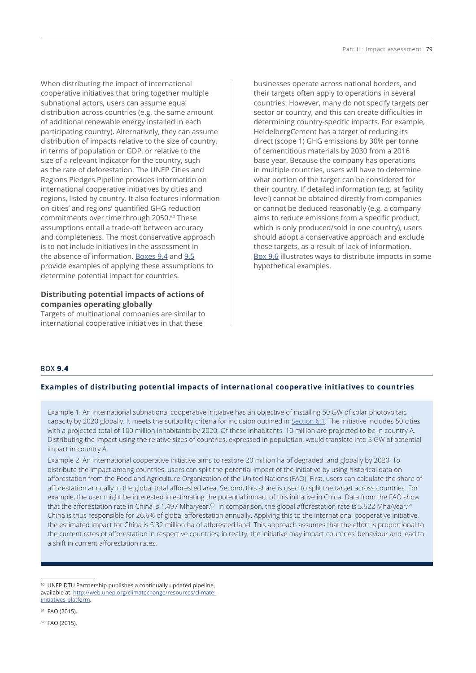When distributing the impact of international cooperative initiatives that bring together multiple subnational actors, users can assume equal distribution across countries (e.g. the same amount of additional renewable energy installed in each participating country). Alternatively, they can assume distribution of impacts relative to the size of country, in terms of population or GDP, or relative to the size of a relevant indicator for the country, such as the rate of deforestation. The UNEP Cities and Regions Pledges Pipeline provides information on international cooperative initiatives by cities and regions, listed by country. It also features information on cities' and regions' quantified GHG reduction commitments over time through 2050.<sup>60</sup> These assumptions entail a trade-off between accuracy and completeness. The most conservative approach is to not include initiatives in the assessment in the absence of information. Boxes 9.4 and [9.5](#page-23-0) provide examples of applying these assumptions to determine potential impact for countries.

# **Distributing potential impacts of actions of companies operating globally**

Targets of multinational companies are similar to international cooperative initiatives in that these

businesses operate across national borders, and their targets often apply to operations in several countries. However, many do not specify targets per sector or country, and this can create difficulties in determining country-specific impacts. For example, HeidelbergCement has a target of reducing its direct (scope 1) GHG emissions by 30% per tonne of cementitious materials by 2030 from a 2016 base year. Because the company has operations in multiple countries, users will have to determine what portion of the target can be considered for their country. If detailed information (e.g. at facility level) cannot be obtained directly from companies or cannot be deduced reasonably (e.g. a company aims to reduce emissions from a specific product, which is only produced/sold in one country), users should adopt a conservative approach and exclude these targets, as a result of lack of information. [Box 9.6](#page-23-0) illustrates ways to distribute impacts in some hypothetical examples.

# **BOX 9.4**

# **Examples of distributing potential impacts of international cooperative initiatives to countries**

Example 1: An international subnational cooperative initiative has an objective of installing 50 GW of solar photovoltaic capacity by 2020 globally. It meets the suitability criteria for inclusion outlined in Section 6.1. The initiative includes 50 cities with a projected total of 100 million inhabitants by 2020. Of these inhabitants, 10 million are projected to be in country A. Distributing the impact using the relative sizes of countries, expressed in population, would translate into 5 GW of potential impact in country A.

Example 2: An international cooperative initiative aims to restore 20 million ha of degraded land globally by 2020. To distribute the impact among countries, users can split the potential impact of the initiative by using historical data on afforestation from the Food and Agriculture Organization of the United Nations (FAO). First, users can calculate the share of afforestation annually in the global total afforested area. Second, this share is used to split the target across countries. For example, the user might be interested in estimating the potential impact of this initiative in China. Data from the FAO show that the afforestation rate in China is 1.497 Mha/year.<sup>63</sup> In comparison, the global afforestation rate is 5.622 Mha/year.<sup>64</sup> China is thus responsible for 26.6% of global afforestation annually. Applying this to the international cooperative initiative, the estimated impact for China is 5.32 million ha of afforested land. This approach assumes that the effort is proportional to the current rates of afforestation in respective countries; in reality, the initiative may impact countries' behaviour and lead to a shift in current afforestation rates.

<sup>60</sup> UNEP DTU Partnership publishes a continually updated pipeline, available at: [http://web.unep.org/climatechange/resources/climate](http://web.unep.org/climatechange/resources/climate-initiatives-platform)[initiatives-platform.](http://web.unep.org/climatechange/resources/climate-initiatives-platform)

<sup>61</sup> FAO (2015).

<sup>62</sup> FAO (2015).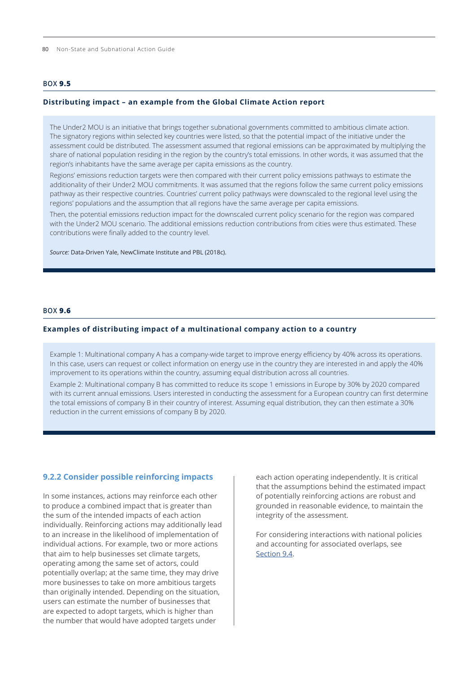<span id="page-23-0"></span>80 Non-State and Subnational Action Guide

## **BOX 9.5**

#### **Distributing impact – an example from the Global Climate Action report**

The Under2 MOU is an initiative that brings together subnational governments committed to ambitious climate action. The signatory regions within selected key countries were listed, so that the potential impact of the initiative under the assessment could be distributed. The assessment assumed that regional emissions can be approximated by multiplying the share of national population residing in the region by the country's total emissions. In other words, it was assumed that the region's inhabitants have the same average per capita emissions as the country.

Regions' emissions reduction targets were then compared with their current policy emissions pathways to estimate the additionality of their Under2 MOU commitments. It was assumed that the regions follow the same current policy emissions pathway as their respective countries. Countries' current policy pathways were downscaled to the regional level using the regions' populations and the assumption that all regions have the same average per capita emissions.

Then, the potential emissions reduction impact for the downscaled current policy scenario for the region was compared with the Under2 MOU scenario. The additional emissions reduction contributions from cities were thus estimated. These contributions were finally added to the country level.

*Source:* Data-Driven Yale, NewClimate Institute and PBL (2018c).

#### **BOX 9.6**

#### **Examples of distributing impact of a multinational company action to a country**

Example 1: Multinational company A has a company-wide target to improve energy efficiency by 40% across its operations. In this case, users can request or collect information on energy use in the country they are interested in and apply the 40% improvement to its operations within the country, assuming equal distribution across all countries.

Example 2: Multinational company B has committed to reduce its scope 1 emissions in Europe by 30% by 2020 compared with its current annual emissions. Users interested in conducting the assessment for a European country can first determine the total emissions of company B in their country of interest. Assuming equal distribution, they can then estimate a 30% reduction in the current emissions of company B by 2020.

#### **9.2.2 Consider possible reinforcing impacts**

In some instances, actions may reinforce each other to produce a combined impact that is greater than the sum of the intended impacts of each action individually. Reinforcing actions may additionally lead to an increase in the likelihood of implementation of individual actions. For example, two or more actions that aim to help businesses set climate targets, operating among the same set of actors, could potentially overlap; at the same time, they may drive more businesses to take on more ambitious targets than originally intended. Depending on the situation, users can estimate the number of businesses that are expected to adopt targets, which is higher than the number that would have adopted targets under

each action operating independently. It is critical that the assumptions behind the estimated impact of potentially reinforcing actions are robust and grounded in reasonable evidence, to maintain the integrity of the assessment.

For considering interactions with national policies and accounting for associated overlaps, see [Section 9.4](#page-25-0).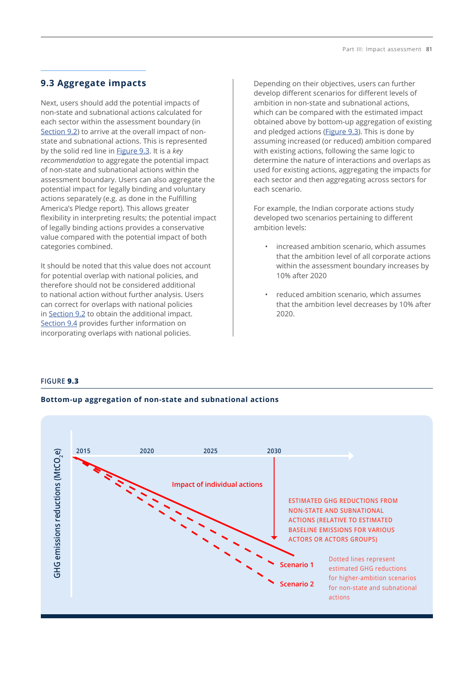# **9.3 Aggregate impacts**

Next, users should add the potential impacts of non-state and subnational actions calculated for each sector within the assessment boundary (in [Section 9.2\)](#page-15-0) to arrive at the overall impact of nonstate and subnational actions. This is represented by the solid red line in Figure 9.3. It is a *key recommendation* to aggregate the potential impact of non-state and subnational actions within the assessment boundary. Users can also aggregate the potential impact for legally binding and voluntary actions separately (e.g. as done in the Fulfilling America's Pledge report). This allows greater flexibility in interpreting results; the potential impact of legally binding actions provides a conservative value compared with the potential impact of both categories combined.

It should be noted that this value does not account for potential overlap with national policies, and therefore should not be considered additional to national action without further analysis. Users can correct for overlaps with national policies in [Section 9.2](#page-15-0) to obtain the additional impact. [Section 9.4](#page-25-0) provides further information on incorporating overlaps with national policies.

Depending on their objectives, users can further develop different scenarios for different levels of ambition in non-state and subnational actions, which can be compared with the estimated impact obtained above by bottom-up aggregation of existing and pledged actions (Figure 9.3). This is done by assuming increased (or reduced) ambition compared with existing actions, following the same logic to determine the nature of interactions and overlaps as used for existing actions, aggregating the impacts for each sector and then aggregating across sectors for each scenario.

For example, the Indian corporate actions study developed two scenarios pertaining to different ambition levels:

- increased ambition scenario, which assumes that the ambition level of all corporate actions within the assessment boundary increases by 10% after 2020
- reduced ambition scenario, which assumes that the ambition level decreases by 10% after 2020.

## **FIGURE 9.3**

## **Bottom-up aggregation of non-state and subnational actions**

![](_page_24_Figure_10.jpeg)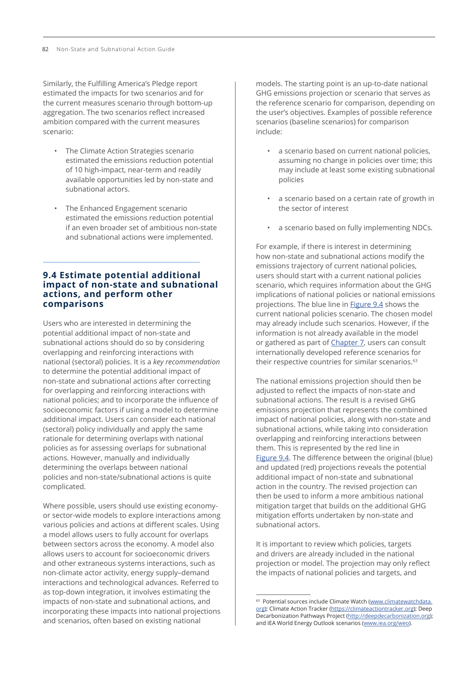<span id="page-25-0"></span>Similarly, the Fulfilling America's Pledge report estimated the impacts for two scenarios and for the current measures scenario through bottom-up aggregation. The two scenarios reflect increased ambition compared with the current measures scenario:

- The Climate Action Strategies scenario estimated the emissions reduction potential of 10 high-impact, near-term and readily available opportunities led by non-state and subnational actors.
- The Enhanced Engagement scenario estimated the emissions reduction potential if an even broader set of ambitious non-state and subnational actions were implemented.

# **9.4 Estimate potential additional impact of non-state and subnational actions, and perform other comparisons**

Users who are interested in determining the potential additional impact of non-state and subnational actions should do so by considering overlapping and reinforcing interactions with national (sectoral) policies. It is a *key recommendation* to determine the potential additional impact of non-state and subnational actions after correcting for overlapping and reinforcing interactions with national policies; and to incorporate the influence of socioeconomic factors if using a model to determine additional impact. Users can consider each national (sectoral) policy individually and apply the same rationale for determining overlaps with national policies as for assessing overlaps for subnational actions. However, manually and individually determining the overlaps between national policies and non-state/subnational actions is quite complicated.

Where possible, users should use existing economyor sector-wide models to explore interactions among various policies and actions at different scales. Using a model allows users to fully account for overlaps between sectors across the economy. A model also allows users to account for socioeconomic drivers and other extraneous systems interactions, such as non-climate actor activity, energy supply–demand interactions and technological advances. Referred to as top-down integration, it involves estimating the impacts of non-state and subnational actions, and incorporating these impacts into national projections and scenarios, often based on existing national

models. The starting point is an up-to-date national GHG emissions projection or scenario that serves as the reference scenario for comparison, depending on the user's objectives. Examples of possible reference scenarios (baseline scenarios) for comparison include:

- a scenario based on current national policies, assuming no change in policies over time; this may include at least some existing subnational policies
- a scenario based on a certain rate of growth in the sector of interest
- a scenario based on fully implementing NDCs.

For example, if there is interest in determining how non-state and subnational actions modify the emissions trajectory of current national policies, users should start with a current national policies scenario, which requires information about the GHG implications of national policies or national emissions projections. The blue line in [Figure 9.4](#page-26-0) shows the current national policies scenario. The chosen model may already include such scenarios. However, if the information is not already available in the model or gathered as part of Chapter 7, users can consult internationally developed reference scenarios for their respective countries for similar scenarios.<sup>63</sup>

The national emissions projection should then be adjusted to reflect the impacts of non-state and subnational actions. The result is a revised GHG emissions projection that represents the combined impact of national policies, along with non-state and subnational actions, while taking into consideration overlapping and reinforcing interactions between them. This is represented by the red line in [Figure 9.4](#page-26-0). The difference between the original (blue) and updated (red) projections reveals the potential additional impact of non-state and subnational action in the country. The revised projection can then be used to inform a more ambitious national mitigation target that builds on the additional GHG mitigation efforts undertaken by non-state and subnational actors.

It is important to review which policies, targets and drivers are already included in the national projection or model. The projection may only reflect the impacts of national policies and targets, and

<sup>&</sup>lt;sup>63</sup> Potential sources include Climate Watch [\(www.climatewatchdata.](http://www.climatewatchdata.org) [org](http://www.climatewatchdata.org)); Climate Action Tracker [\(https://climateactiontracker.org\)](https://climateactiontracker.org); Deep Decarbonization Pathways Project [\(http://deepdecarbonization.org\)](http://deepdecarbonization.org); and IEA World Energy Outlook scenarios ([www.iea.org/weo\)](http://www.iea.org/weo).